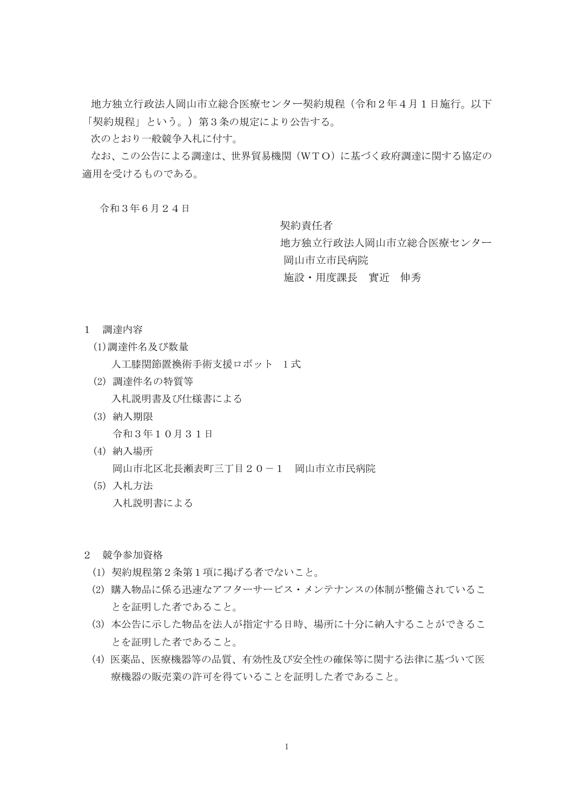地方独立行政法人岡山市立総合医療センター契約規程(令和2年4月1日施行。以下 「契約規程」という。)第3条の規定により公告する。

次のとおり一般競争入札に付す。

なお、この公告による調達は、世界貿易機関(WTO)に基づく政府調達に関する協定の 適用を受けるものである。

令和3年6月24日

契約責任者

地方独立行政法人岡山市立総合医療センター 岡山市立市民病院

施設・用度課長 實近 伸秀

- 1 調達内容
	- (1)調達件名及び数量

人工膝関節置換術手術支援ロボット 1 式

- (2) 調達件名の特質等 入札説明書及び仕様書による
- (3) 納入期限 令和3年10月31日
- (4) 納入場所 岡山市北区北長瀬表町三丁目20-1 岡山市立市民病院
- (5) 入札方法 入札説明書による
- 2 競争参加資格
	- (1) 契約規程第2条第1項に掲げる者でないこと。
	- (2) 購入物品に係る迅速なアフターサービス・メンテナンスの体制が整備されているこ とを証明した者であること。
	- (3) 本公告に示した物品を法人が指定する日時、場所に十分に納入することができるこ とを証明した者であること。
	- (4) 医薬品、医療機器等の品質、有効性及び安全性の確保等に関する法律に基づいて医 療機器の販売業の許可を得ていることを証明した者であること。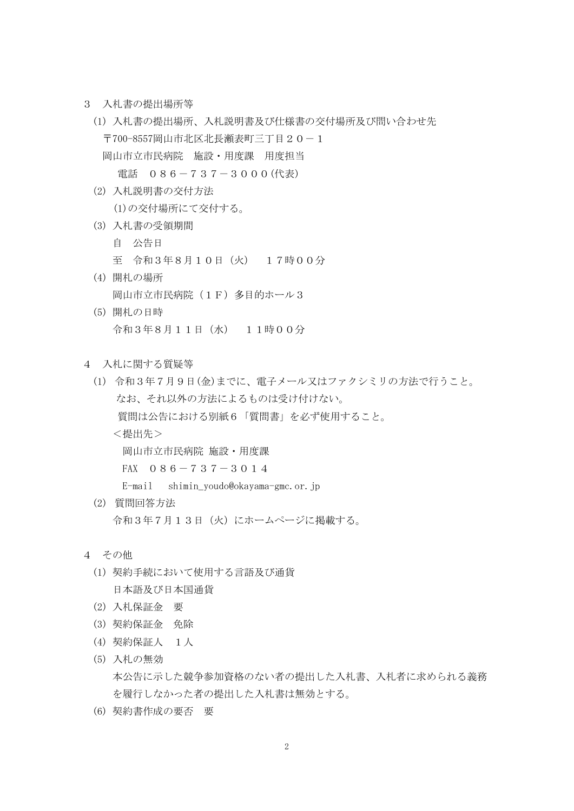- 3 入札書の提出場所等
	- (1) 入札書の提出場所、入札説明書及び仕様書の交付場所及び問い合わせ先 〒700-8557岡山市北区北長瀬表町三丁目20-1 岡山市立市民病院 施設・用度課 用度担当 電話 086-737-3000(代表)
	- (2) 入札説明書の交付方法 (1)の交付場所にて交付する。
	- (3) 入札書の受領期間
		- 自 公告日
		- 至 令和3年8月10日(火) 17時00分
	- (4) 開札の場所 岡山市立市民病院(1F)多目的ホール3
	- (5) 開札の日時 令和3年8月11日(水) 11時00分
- 4 入札に関する質疑等
	- (1) 令和3年7月9日(金)までに、電子メール又はファクシミリの方法で行うこと。 なお、それ以外の方法によるものは受け付けない。 質問は公告における別紙6「質問書」を必ず使用すること。 <提出先> 岡山市立市民病院 施設・用度課 FAX  $086-737-3014$ E-mail shimin\_youdo@okayama-gmc.or.jp
	- (2) 質問回答方法 令和3年7月13日(火)にホームページに掲載する。
- 4 その他
	- (1) 契約手続において使用する言語及び通貨 日本語及び日本国通貨
	- (2) 入札保証金 要
	- (3) 契約保証金 免除
	- (4) 契約保証人 1人
	- (5) 入札の無効 本公告に示した競争参加資格のない者の提出した入札書、入札者に求められる義務 を履行しなかった者の提出した入札書は無効とする。
	- (6) 契約書作成の要否 要